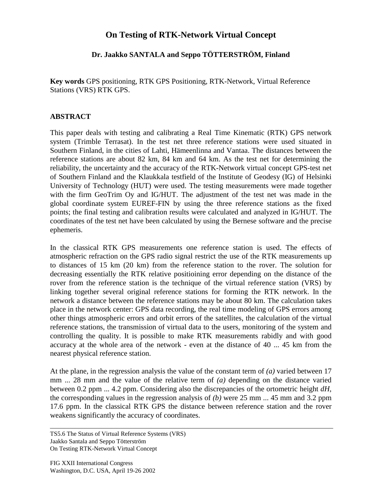## **On Testing of RTK-Network Virtual Concept**

## **Dr. Jaakko SANTALA and Seppo TÖTTERSTRÖM, Finland**

**Key words** GPS positioning, RTK GPS Positioning, RTK-Network, Virtual Reference Stations (VRS) RTK GPS.

## **ABSTRACT**

This paper deals with testing and calibrating a Real Time Kinematic (RTK) GPS network system (Trimble Terrasat). In the test net three reference stations were used situated in Southern Finland, in the cities of Lahti, Hämeenlinna and Vantaa. The distances between the reference stations are about 82 km, 84 km and 64 km. As the test net for determining the reliability, the uncertainty and the accuracy of the RTK-Network virtual concept GPS-test net of Southern Finland and the Klaukkala testfield of the Institute of Geodesy (IG) of Helsinki University of Technology (HUT) were used. The testing measurements were made together with the firm GeoTrim Oy and IG/HUT. The adjustment of the test net was made in the global coordinate system EUREF-FIN by using the three reference stations as the fixed points; the final testing and calibration results were calculated and analyzed in IG/HUT. The coordinates of the test net have been calculated by using the Bernese software and the precise ephemeris.

In the classical RTK GPS measurements one reference station is used. The effects of atmospheric refraction on the GPS radio signal restrict the use of the RTK measurements up to distances of 15 km (20 km) from the reference station to the rover. The solution for decreasing essentially the RTK relative positioining error depending on the distance of the rover from the reference station is the technique of the virtual reference station (VRS) by linking together several original reference stations for forming the RTK network. In the network a distance between the reference stations may be about 80 km. The calculation takes place in the network center: GPS data recording, the real time modeling of GPS errors among other things atmospheric errors and orbit errors of the satellites, the calculation of the virtual reference stations, the transmission of virtual data to the users, monitoring of the system and controlling the quality. It is possible to make RTK measurements rabidly and with good accuracy at the whole area of the network - even at the distance of 40 ... 45 km from the nearest physical reference station.

At the plane, in the regression analysis the value of the constant term of *(a)* varied between 17 mm ... 28 mm and the value of the relative term of *(a)* depending on the distance varied between 0.2 ppm ... 4.2 ppm. Considering also the discrepancies of the ortometric height *dH*, the corresponding values in the regression analysis of *(b)* were 25 mm ... 45 mm and 3.2 ppm 17.6 ppm. In the classical RTK GPS the distance between reference station and the rover weakens significantly the accuracy of coordinates.

TS5.6 The Status of Virtual Reference Systems (VRS) Jaakko Santala and Seppo Tötterström On Testing RTK-Network Virtual Concept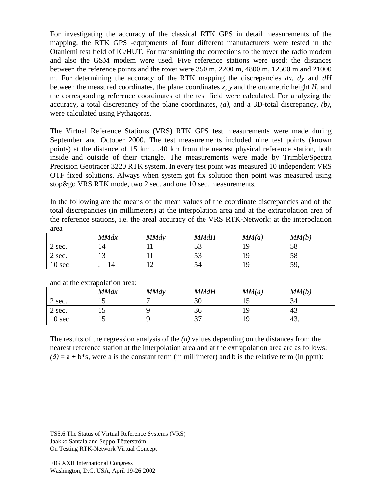For investigating the accuracy of the classical RTK GPS in detail measurements of the mapping, the RTK GPS -equipments of four different manufacturers were tested in the Otaniemi test field of IG/HUT. For transmitting the corrections to the rover the radio modem and also the GSM modem were used. Five reference stations were used; the distances between the reference points and the rover were 350 m, 2200 m, 4800 m, 12500 m and 21000 m. For determining the accuracy of the RTK mapping the discrepancies *dx*, *dy* and *dH* between the measured coordinates, the plane coordinates *x*, *y* and the ortometric height *H*, and the corresponding reference coordinates of the test field were calculated. For analyzing the accuracy, a total discrepancy of the plane coordinates, *(a)*, and a 3D-total discrepancy, *(b)*, were calculated using Pythagoras.

The Virtual Reference Stations (VRS) RTK GPS test measurements were made during September and October 2000. The test measurements included nine test points (known points) at the distance of 15 km …40 km from the nearest physical reference station, both inside and outside of their triangle. The measurements were made by Trimble/Spectra Precision Geotracer 3220 RTK system. In every test point was measured 10 independent VRS OTF fixed solutions. Always when system got fix solution then point was measured using stop&go VRS RTK mode, two 2 sec. and one 10 sec. measurements.

In the following are the means of the mean values of the coordinate discrepancies and of the total discrepancies (in millimeters) at the interpolation area and at the extrapolation area of the reference stations, i.e. the areal accuracy of the VRS RTK-Network: at the interpolation area

|                   | <b>MMdx</b> | <b>MMdy</b> | <b>MMdH</b> | MM(a) | MM(b) |
|-------------------|-------------|-------------|-------------|-------|-------|
| 2 sec.            | 14          |             | 52<br>οэ    | ۱۵    | 58    |
| 2 sec.            | 12          |             | ςŋ<br>IJ    |       | 58    |
| 10 <sub>sec</sub> | $\Delta$    |             | 54          | Q     | 59    |

|        | <b>MMdx</b> | <b>MMdv</b> | <b>MMdH</b> | MM(a) | MM(b) |
|--------|-------------|-------------|-------------|-------|-------|
| 2 sec. | 12          |             | 30          | ⊥ັ    | 34    |
| 2 sec. | LD          |             | 36          |       | 43    |
| 10 sec | 15          |             | $\sim$      |       | 43.   |

and at the extrapolation area:

The results of the regression analysis of the *(a)* values depending on the distances from the nearest reference station at the interpolation area and at the extrapolation area are as follows:  $(\hat{a}) = a + b^*s$ , were a is the constant term (in millimeter) and b is the relative term (in ppm):

TS5.6 The Status of Virtual Reference Systems (VRS) Jaakko Santala and Seppo Tötterström On Testing RTK-Network Virtual Concept